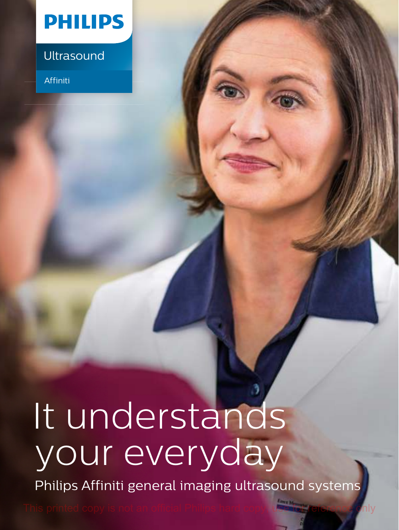

## Ultrasound

Affiniti

## It understands your everyday

Philips Affiniti general imaging ultrasound systems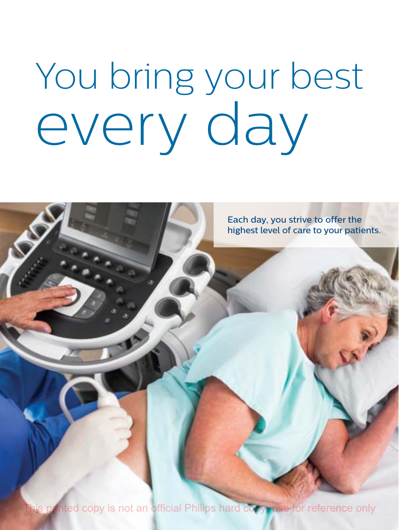# You bring your best every day

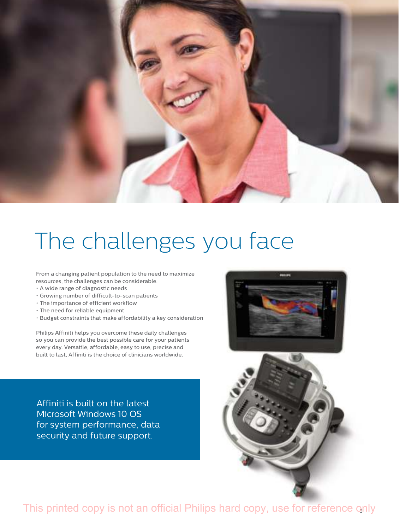

## The challenges you face

From a changing patient population to the need to maximize resources, the challenges can be considerable.

- A wide range of diagnostic needs
- Growing number of difficult-to-scan patients
- The importance of efficient workflow
- The need for reliable equipment
- Budget constraints that make affordability a key consideration

Philips Affiniti helps you overcome these daily challenges so you can provide the best possible care for your patients every day. Versatile, affordable, easy to use, precise and built to last, Affiniti is the choice of clinicians worldwide.

Affiniti is built on the latest Microsoft Windows 10 OS for system performance, data security and future support.

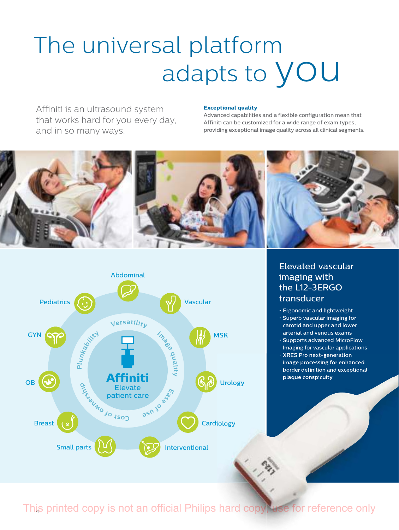## The universal platform adapts to **YOU**

Affiniti is an ultrasound system that works hard for you every day, and in so many ways.

#### **Exceptional quality**

Advanced capabilities and a flexible configuration mean that Affiniti can be customized for a wide range of exam types, providing exceptional image quality across all clinical segments.





Elevated vascular imaging with the L12-3ERGO transducer

- Ergonomic and lightweight
- Superb vascular imaging for carotid and upper and lower arterial and venous exams
- Supports advanced MicroFlow Imaging for vascular applications
- XRES Pro next-generation image processing for enhanced border definition and exceptional plaque conspicuity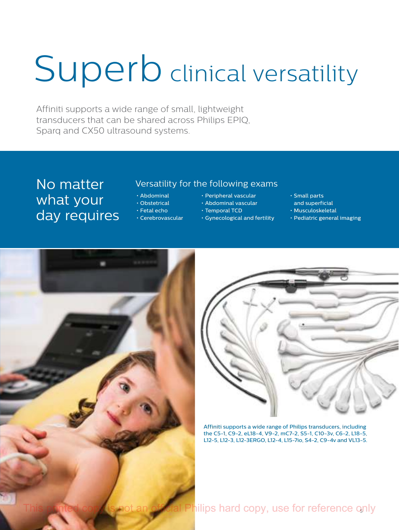## Superb clinical versatility

Affiniti supports a wide range of small, lightweight transducers that can be shared across Philips EPIQ, Sparq and CX50 ultrasound systems.

No matter what your day requires

### Versatility for the following exams

- Abdominal
- Obstetrical
- Fetal echo
- Cerebrovascular
- Peripheral vascular
- Abdominal vascular
- Temporal TCD
- Gynecological and fertility
- Small parts
- and superficial
- Musculoskeletal
- Pediatric general imaging





Affiniti supports a wide range of Philips transducers, including the C5-1, C9-2, eL18-4, V9-2, mC7-2, S5-1, C10-3v, C6-2, L18-5, L12-5, L12-3, L12-3ERGO, L12-4, L15-7io, S4-2, C9-4v and VL13-5.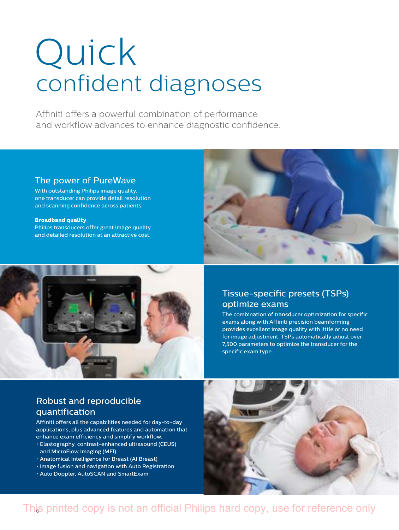## Quick confident diagnoses

Affiniti offers a powerful combination of performance and workflow advances to enhance diagnostic confidence.

### The power of PureWave

With outstanding Philips image quality, one transducer can provide detail resolution and scanning confidence across patients.

#### **Broadband quality**

Philips transducers offer great image quality and detailed resolution at an attractive cost.





### Tissue-specific presets (TSPs) optimize exams

The combination of transducer optimization for specific exams along with Affiniti precision beamforming provides excellent image quality with little or no need for image adjustment. TSPs automatically adjust over 7,500 parameters to optimize the transducer for the specific exam type.

### Robust and reproducible quantification

Affiniti offers all the capabilities needed for day-to-day applications, plus advanced features and automation that enhance exam efficiency and simplify workflow.

- Elastography, contrast-enhanced ultrasound (CEUS) and MicroFlow Imaging (MFI)
- Anatomical Intelligence for Breast (AI Breast)
- Image fusion and navigation with Auto Registration
- Auto Doppler, AutoSCAN and SmartExam

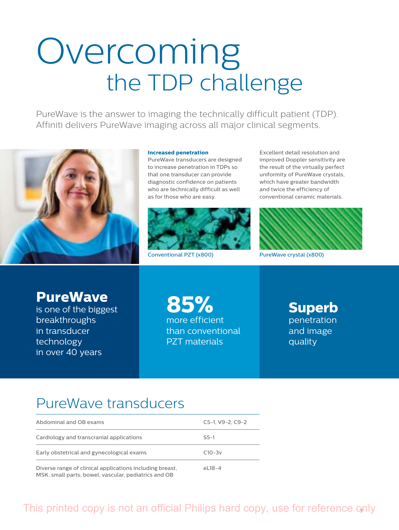## Overcoming the TDP challenge

PureWave is the answer to imaging the technically difficult patient (TDP). Affiniti delivers PureWave imaging across all major clinical segments.



#### **Increased penetration**

PureWave transducers are designed to increase penetration in TDPs so that one transducer can provide diagnostic confidence on patients who are technically difficult as well as for those who are easy.



Excellent detail resolution and improved Doppler sensitivity are the result of the virtually perfect uniformity of PureWave crystals, which have greater bandwidth and twice the efficiency of conventional ceramic materials.



Conventional PZT (x800) PureWave crystal (x800)

**PureWave**

is one of the biggest breakthroughs in transducer technology in over 40 years

**85%** more efficient than conventional PZT materials

**Superb**  penetration and image quality

## PureWave transducers

| Abdominal and OB exams                                   | $C5-1. V9-2. C9-2$ |
|----------------------------------------------------------|--------------------|
| Cardiology and transcranial applications                 | $S5-1$             |
| Early obstetrical and gynecological exams                | $C10-3v$           |
| Diverse range of clinical applications including breast, | $e18-4$            |

MSK, small parts, bowel, vascular, pediatrics and OB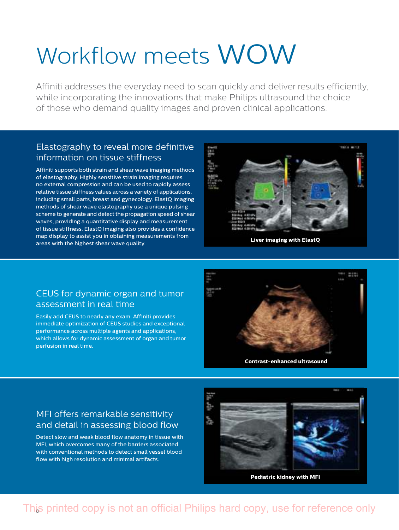## Workflow meets WOW

Affiniti addresses the everyday need to scan quickly and deliver results efficiently, while incorporating the innovations that make Philips ultrasound the choice of those who demand quality images and proven clinical applications.

### Elastography to reveal more definitive information on tissue stiffness

Affiniti supports both strain and shear wave imaging methods of elastography. Highly sensitive strain imaging requires no external compression and can be used to rapidly assess relative tissue stiffness values across a variety of applications, including small parts, breast and gynecology. ElastQ Imaging methods of shear wave elastography use a unique pulsing scheme to generate and detect the propagation speed of shear waves, providing a quantitative display and measurement of tissue stiffness. ElastQ Imaging also provides a confidence map display to assist you in obtaining measurements from areas with the highest shear wave quality.



**Liver imaging with ElastQ**

### CEUS for dynamic organ and tumor assessment in real time

Easily add CEUS to nearly any exam. Affiniti provides immediate optimization of CEUS studies and exceptional performance across multiple agents and applications, which allows for dynamic assessment of organ and tumor perfusion in real time.



### MFI offers remarkable sensitivity and detail in assessing blood flow

Detect slow and weak blood flow anatomy in tissue with MFI, which overcomes many of the barriers associated with conventional methods to detect small vessel blood flow with high resolution and minimal artifacts.



**Pediatric kidney with MFI**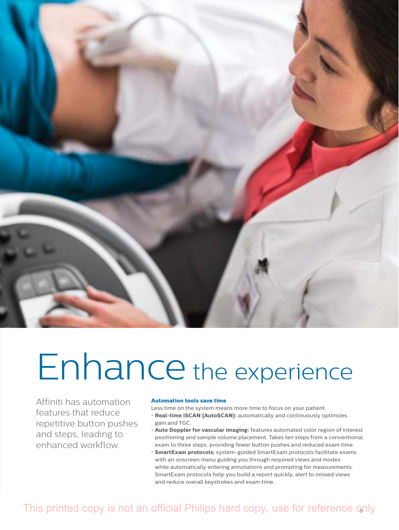

## Enhance the experience

Affiniti has automation features that reduce repetitive button pushes and steps, leading to enhanced workflow.

#### **Automation tools save time**

Less time on the system means more time to focus on your patient.

- **Real-time iSCAN (AutoSCAN):** automatically and continuously optimizes gain and TGC.
- **Auto Doppler for vascular imaging:** features automated color region of interest positioning and sample volume placement. Takes ten steps from a conventional exam to three steps, providing fewer button pushes and reduced exam time.
- **SmartExam protocols:** system-guided SmartExam protocols facilitate exams with an onscreen menu guiding you through required views and modes while automatically entering annotations and prompting for measurements. SmartExam protocols help you build a report quickly, alert to missed views and reduce overall keystrokes and exam time.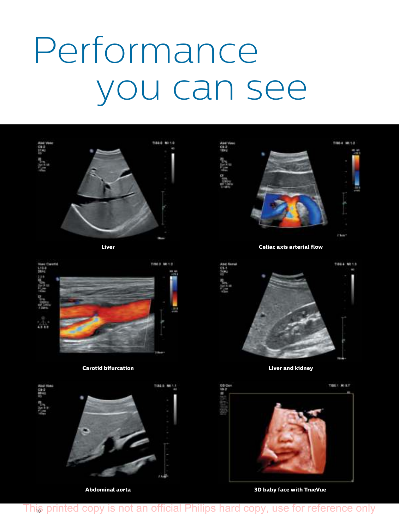## Performance you can see





**Carotid bifurcation** 





**Liver Celiac axis arterial flow** 



 **Liver and kidney** 



**Abdominal aorta 3D baby face with TrueVue**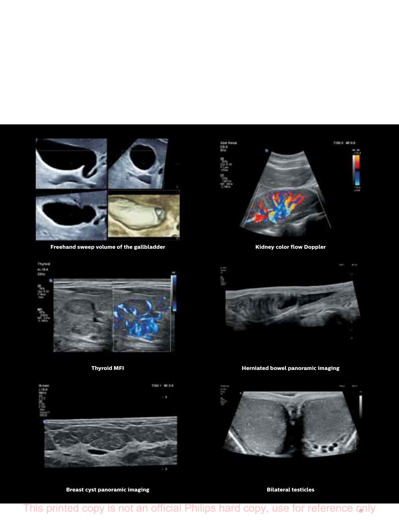

**Freehand sweep volume of the gallbladder** 





**Breast cyst panoramic imaging** 

**Bar 120** 

**Kidney color flow Doppler** 



**Thyroid MFI Herniated bowel panoramic imaging** 



**Bilateral testicles**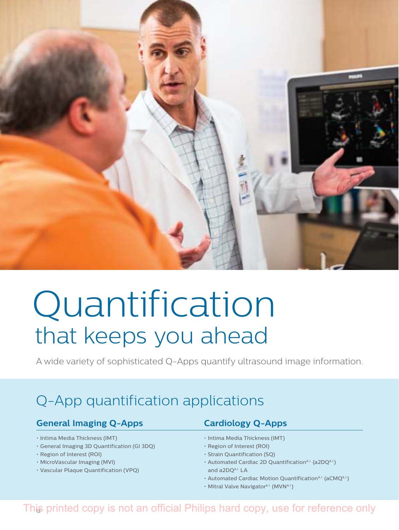

## Quantification that keeps you ahead

A wide variety of sophisticated Q-Apps quantify ultrasound image information.

## Q-App quantification applications

### **General Imaging Q-Apps Cardiology Q-Apps**

- Intima Media Thickness (IMT)
- General Imaging 3D Quantification (GI 3DQ)
- Region of Interest (ROI)
- MicroVascular Imaging (MVI)
- Vascular Plaque Quantification (VPQ)

- Intima Media Thickness (IMT)
- Region of Interest (ROI)
- Strain Quantification (SQ)
- Automated Cardiac 2D QuantificationA.I. (a2DQA.I.) and a2DOA.I. LA
- Automated Cardiac Motion Quantification<sup>A.I.</sup> (aCMQA.I.)
- Mitral Valve Navigator<sup>A.I.</sup> (MVNA.I.)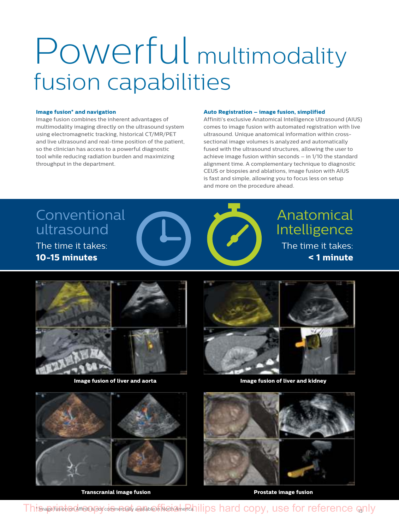## Powerful multimodality fusion capabilities

#### **Image fusion\* and navigation**

Image fusion combines the inherent advantages of multimodality imaging directly on the ultrasound system using electromagnetic tracking, historical CT/MR/PET and live ultrasound and real-time position of the patient, so the clinician has access to a powerful diagnostic tool while reducing radiation burden and maximizing throughput in the department.

#### **Auto Registration – image fusion, simplified**

Affiniti's exclusive Anatomical Intelligence Ultrasound (AIUS) comes to image fusion with automated registration with live ultrasound. Unique anatomical information within crosssectional image volumes is analyzed and automatically fused with the ultrasound structures, allowing the user to achieve image fusion within seconds – in 1/10 the standard alignment time. A complementary technique to diagnostic CEUS or biopsies and ablations, image fusion with AIUS is fast and simple, allowing you to focus less on setup and more on the procedure ahead.

## Conventional ultrasound

The time it takes: **10-15 minutes**



Anatomical Intelligence The time it takes:  **< 1 minute**





**Image fusion of liver and aorta Image fusion of liver and kidney**



 **Transcranial image fusion Prostate image fusion** 



This page fusion on Affinities pay commercially available in North America. Illips hard copy, use for reference  $q_0$ nly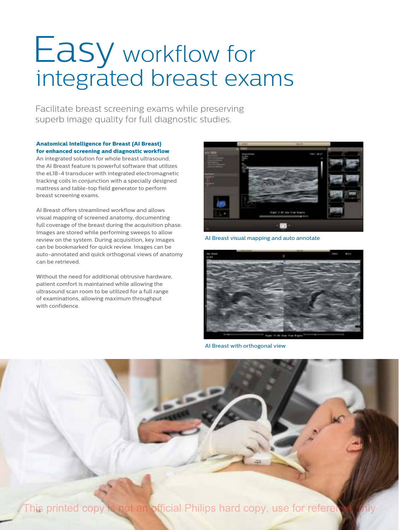## Easy workflow for integrated breast exams

Facilitate breast screening exams while preserving superb image quality for full diagnostic studies.

**Anatomical Intelligence for Breast (AI Breast) for enhanced screening and diagnostic workflow**

An integrated solution for whole breast ultrasound, the AI Breast feature is powerful software that utilizes the eL18-4 transducer with integrated electromagnetic tracking coils in conjunction with a specially designed mattress and table-top field generator to perform breast screening exams.

AI Breast offers streamlined workflow and allows visual mapping of screened anatomy, documenting full coverage of the breast during the acquisition phase. Images are stored while performing sweeps to allow review on the system. During acquisition, key images can be bookmarked for quick review. Images can be auto-annotated and quick orthogonal views of anatomy can be retrieved.

Without the need for additional obtrusive hardware, patient comfort is maintained while allowing the ultrasound scan room to be utilized for a full range of examinations, allowing maximum throughput with confidence.



AI Breast visual mapping and auto annotate



AI Breast with orthogonal view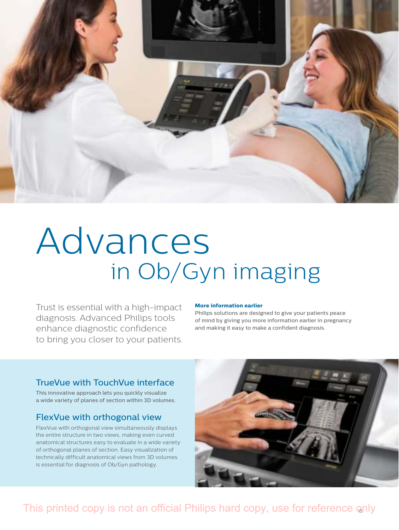

## Advances in Ob/Gyn imaging

Trust is essential with a high-impact diagnosis. Advanced Philips tools enhance diagnostic confidence to bring you closer to your patients.

#### **More information earlier**

Philips solutions are designed to give your patients peace of mind by giving you more information earlier in pregnancy and making it easy to make a confident diagnosis.

### TrueVue with TouchVue interface

This innovative approach lets you quickly visualize a wide variety of planes of section within 3D volumes.

#### FlexVue with orthogonal view

FlexVue with orthogonal view simultaneously displays the entire structure in two views, making even curved anatomical structures easy to evaluate in a wide variety of orthogonal planes of section. Easy visualization of technically difficult anatomical views from 3D volumes is essential for diagnosis of Ob/Gyn pathology.

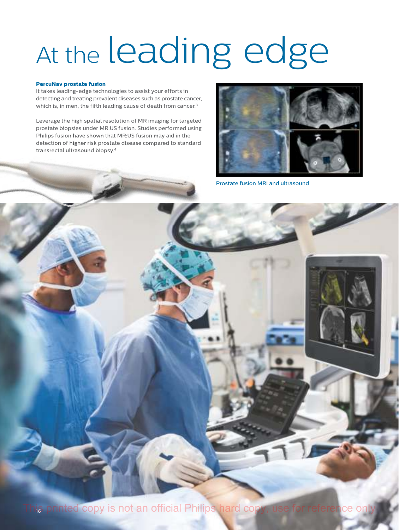## At the leading edge

#### **PercuNav prostate fusion**

It takes leading-edge technologies to assist your efforts in detecting and treating prevalent diseases such as prostate cancer, which is, in men, the fifth leading cause of death from cancer.<sup>3</sup>

Leverage the high spatial resolution of MR imaging for targeted prostate biopsies under MR:US fusion. Studies performed using Philips fusion have shown that MR:US fusion may aid in the detection of higher risk prostate disease compared to standard transrectal ultrasound biopsy.<sup>4</sup>



Prostate fusion MRI and ultrasound

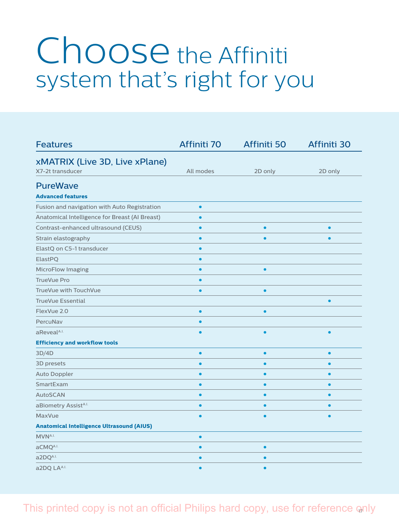## Choose the Affiniti system that's right for you

| <b>Features</b>                                  | Affiniti 70 | Affiniti 50 | Affiniti 30 |
|--------------------------------------------------|-------------|-------------|-------------|
| xMATRIX (Live 3D, Live xPlane)                   |             |             |             |
| X7-2t transducer                                 | All modes   | 2D only     | 2D only     |
| <b>PureWave</b>                                  |             |             |             |
| <b>Advanced features</b>                         |             |             |             |
| Fusion and navigation with Auto Registration     |             |             |             |
| Anatomical Intelligence for Breast (AI Breast)   | $\bullet$   |             |             |
| Contrast-enhanced ultrasound (CEUS)              | $\bullet$   | $\bullet$   |             |
| Strain elastography                              |             |             |             |
| ElastQ on C5-1 transducer                        | $\bullet$   |             |             |
| ElastPQ                                          |             |             |             |
| <b>MicroFlow Imaging</b>                         |             | $\bullet$   |             |
| <b>TrueVue Pro</b>                               |             |             |             |
| TrueVue with TouchVue                            |             | $\bullet$   |             |
| <b>TrueVue Essential</b>                         |             |             | ٠           |
| FlexVue 2.0                                      | $\bullet$   | $\bullet$   |             |
| PercuNav                                         |             |             |             |
| aReveal <sup>A.I.</sup>                          |             | ٠           | $\bullet$   |
| <b>Efficiency and workflow tools</b>             |             |             |             |
| 3D/4D                                            | ٠           | $\bullet$   |             |
| 3D presets                                       |             |             |             |
| <b>Auto Doppler</b>                              | $\bullet$   |             |             |
| SmartExam                                        |             |             |             |
| <b>AutoSCAN</b>                                  |             |             |             |
| aBiometry Assist <sup>A.I.</sup>                 |             |             |             |
| <b>MaxVue</b>                                    |             |             |             |
| <b>Anatomical Intelligence Ultrasound (AIUS)</b> |             |             |             |
| MVNA.I.                                          | $\bullet$   |             |             |
| aCMQA.I.                                         |             | ٠           |             |
| a2DQA.I.                                         |             |             |             |
| a2DQ LAA.I.                                      |             |             |             |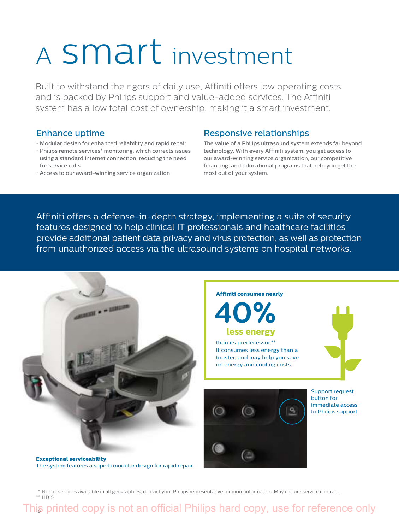## <sup>A</sup> smart investment

Built to withstand the rigors of daily use, Affiniti offers low operating costs and is backed by Philips support and value-added services. The Affiniti system has a low total cost of ownership, making it a smart investment.

### Enhance uptime

- Modular design for enhanced reliability and rapid repair
- Philips remote services\* monitoring, which corrects issues using a standard Internet connection, reducing the need for service calls
- Access to our award-winning service organization

### Responsive relationships

The value of a Philips ultrasound system extends far beyond technology. With every Affiniti system, you get access to our award-winning service organization, our competitive financing, and educational programs that help you get the most out of your system.

Affiniti offers a defense-in-depth strategy, implementing a suite of security features designed to help clinical IT professionals and healthcare facilities provide additional patient data privacy and virus protection, as well as protection from unauthorized access via the ultrasound systems on hospital networks.



 \* Not all services available in all geographies; contact your Philips representative for more information. May require service contract. \*\* HD15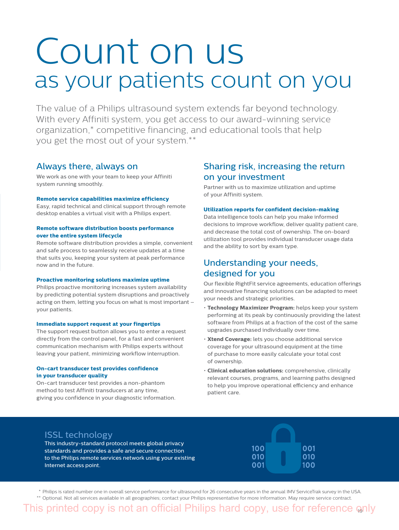## Count on us as your patients count on you

The value of a Philips ultrasound system extends far beyond technology. With every Affiniti system, you get access to our award-winning service organization,\* competitive financing, and educational tools that help you get the most out of your system.\*\*

#### Always there, always on

We work as one with your team to keep your Affiniti system running smoothly.

#### **Remote service capabilities maximize efficiency**

Easy, rapid technical and clinical support through remote desktop enables a virtual visit with a Philips expert.

#### **Remote software distribution boosts performance over the entire system lifecycle**

Remote software distribution provides a simple, convenient and safe process to seamlessly receive updates at a time that suits you, keeping your system at peak performance now and in the future.

#### **Proactive monitoring solutions maximize uptime**

Philips proactive monitoring increases system availability by predicting potential system disruptions and proactively acting on them, letting you focus on what is most important – your patients.

#### **Immediate support request at your fingertips**

The support request button allows you to enter a request directly from the control panel, for a fast and convenient communication mechanism with Philips experts without leaving your patient, minimizing workflow interruption.

#### **On-cart transducer test provides confidence in your transducer quality**

On-cart transducer test provides a non-phantom method to test Affiniti transducers at any time, giving you confidence in your diagnostic information.

### Sharing risk, increasing the return on your investment

Partner with us to maximize utilization and uptime of your Affiniti system.

#### **Utilization reports for confident decision-making**

Data intelligence tools can help you make informed decisions to improve workflow, deliver quality patient care, and decrease the total cost of ownership. The on-board utilization tool provides individual transducer usage data and the ability to sort by exam type.

### Understanding your needs, designed for you

Our flexible RightFit service agreements, education offerings and innovative financing solutions can be adapted to meet your needs and strategic priorities.

- **Technology Maximizer Program:** helps keep your system performing at its peak by continuously providing the latest software from Philips at a fraction of the cost of the same upgrades purchased individually over time.
- **Xtend Coverage:** lets you choose additional service coverage for your ultrasound equipment at the time of purchase to more easily calculate your total cost of ownership.
- **Clinical education solutions:** comprehensive, clinically relevant courses, programs, and learning paths designed to help you improve operational efficiency and enhance patient care.

### ISSL technology

This industry-standard protocol meets global privacy standards and provides a safe and secure connection to the Philips remote services network using your existing Internet access point.

| 100<br>010<br>001 | 00<br>010<br>10 <sub>0</sub> |
|-------------------|------------------------------|

 \* Philips is rated number one in overall service performance for ultrasound for 26 consecutive years in the annual IMV ServiceTrak survey in the USA. \*\* Optional. Not all services available in all geographies; contact your Philips representative for more information. May require service contract.